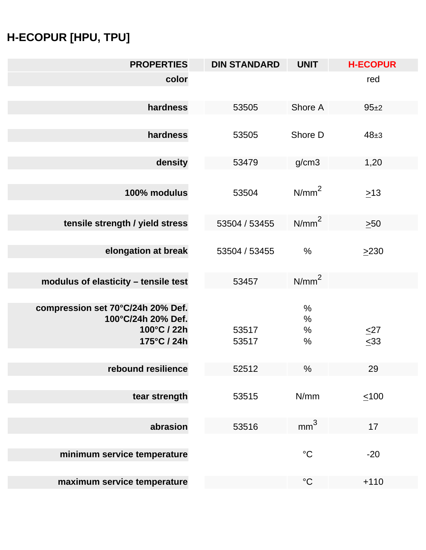## **H-ECOPUR [HPU, TPU]**

| <b>PROPERTIES</b>                                                                     | <b>DIN STANDARD</b> | <b>UNIT</b>                  | <b>H-ECOPUR</b>        |
|---------------------------------------------------------------------------------------|---------------------|------------------------------|------------------------|
| color                                                                                 |                     |                              | red                    |
| hardness                                                                              | 53505               | Shore A                      | $95+2$                 |
| hardness                                                                              | 53505               | Shore D                      | $48 + 3$               |
| density                                                                               | 53479               | g/cm3                        | 1,20                   |
| 100% modulus                                                                          | 53504               | N/mm <sup>2</sup>            | $\geq 13$              |
| tensile strength / yield stress                                                       | 53504 / 53455       | $N/mm^2$                     | $\geq 50$              |
| elongation at break                                                                   | 53504 / 53455       | $\frac{0}{0}$                | $\geq$ 230             |
| modulus of elasticity - tensile test                                                  | 53457               | $N/mm^2$                     |                        |
| compression set 70°C/24h 20% Def.<br>100°C/24h 20% Def.<br>100°C / 22h<br>175°C / 24h | 53517<br>53517      | $\%$<br>$\%$<br>$\%$<br>$\%$ | $\leq$ 27<br>$\leq 33$ |
| rebound resilience                                                                    | 52512               | %                            | 29                     |
| tear strength                                                                         | 53515               | N/mm                         | $\leq 100$             |
| abrasion                                                                              | 53516               | mm <sup>3</sup>              | 17                     |
| minimum service temperature                                                           |                     | $\rm ^{\circ}C$              | $-20$                  |
| maximum service temperature                                                           |                     | $\rm ^{\circ}C$              | $+110$                 |